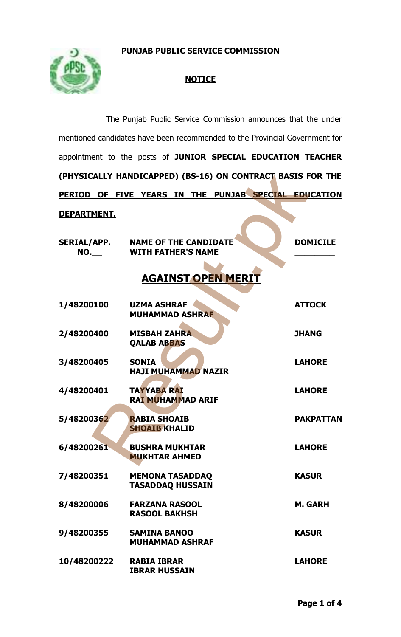**PUNJAB PUBLIC SERVICE COMMISSION**



# **NOTICE**

|                                                                             | The Punjab Public Service Commission announces that the under  |                  |  |  |
|-----------------------------------------------------------------------------|----------------------------------------------------------------|------------------|--|--|
| mentioned candidates have been recommended to the Provincial Government for |                                                                |                  |  |  |
|                                                                             | appointment to the posts of JUNIOR SPECIAL EDUCATION TEACHER   |                  |  |  |
|                                                                             | (PHYSICALLY HANDICAPPED) (BS-16) ON CONTRACT BASIS FOR THE     |                  |  |  |
|                                                                             | PERIOD OF FIVE YEARS IN THE PUNJAB SPECIAL EDUCATION           |                  |  |  |
| <u>DEPARTMENT.</u>                                                          |                                                                |                  |  |  |
| <u>NO. ___</u>                                                              | SERIAL/APP. NAME OF THE CANDIDATE<br><b>WITH FATHER'S NAME</b> | <b>DOMICILE</b>  |  |  |
| <b>AGAINST OPEN MERIT</b>                                                   |                                                                |                  |  |  |
| 1/48200100                                                                  | <b>UZMA ASHRAF</b><br><b>MUHAMMAD ASHRAF</b>                   | <b>ATTOCK</b>    |  |  |
| 2/48200400                                                                  | <b>MISBAH ZAHRA</b><br><b>QALAB ABBAS</b>                      | <b>JHANG</b>     |  |  |
| 3/48200405                                                                  | <b>SONIA</b><br><b>HAJI MUHAMMAD NAZIR</b>                     | <b>LAHORE</b>    |  |  |
| 4/48200401                                                                  | <b>TAYYABA RAI</b><br>RAI MUHAMMAD ARIF                        | <b>LAHORE</b>    |  |  |
| 5/48200362                                                                  | <b>RABIA SHOAIB</b><br><b>SHOAIB KHALID</b>                    | <b>PAKPATTAN</b> |  |  |
| 6/48200261                                                                  | <b>BUSHRA MUKHTAR</b><br><b>MUKHTAR AHMED</b>                  | <b>LAHORE</b>    |  |  |
| 7/48200351                                                                  | <b>MEMONA TASADDAQ</b><br><b>TASADDAQ HUSSAIN</b>              | <b>KASUR</b>     |  |  |
| 8/48200006                                                                  | <b>FARZANA RASOOL</b><br><b>RASOOL BAKHSH</b>                  | <b>M. GARH</b>   |  |  |
| 9/48200355                                                                  | <b>SAMINA BANOO</b><br><b>MUHAMMAD ASHRAF</b>                  | <b>KASUR</b>     |  |  |
| 10/48200222                                                                 | <b>RABIA IBRAR</b><br><b>IBRAR HUSSAIN</b>                     | <b>LAHORE</b>    |  |  |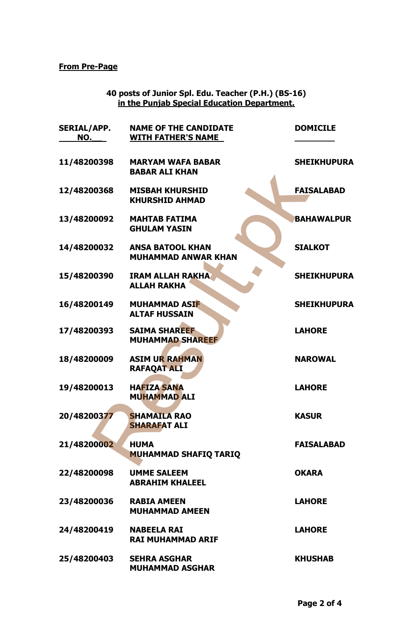### **From Pre-Page**

#### **40 posts of Junior Spl. Edu. Teacher (P.H.) (BS-16) in the Punjab Special Education Department.**

| <b>SERIAL/APP.</b><br>NO. | <b>NAME OF THE CANDIDATE</b><br><b>WITH FATHER'S NAME</b> | <b>DOMICILE</b>    |
|---------------------------|-----------------------------------------------------------|--------------------|
| 11/48200398               | <b>MARYAM WAFA BABAR</b><br><b>BABAR ALI KHAN</b>         | <b>SHEIKHUPURA</b> |
| 12/48200368               | <b>MISBAH KHURSHID</b><br><b>KHURSHID AHMAD</b>           | <b>FAISALABAD</b>  |
| 13/48200092               | <b>MAHTAB FATIMA</b><br><b>GHULAM YASIN</b>               | <b>BAHAWALPUR</b>  |
| 14/48200032               | <b>ANSA BATOOL KHAN</b><br><b>MUHAMMAD ANWAR KHAN</b>     | <b>SIALKOT</b>     |
| 15/48200390               | <b>IRAM ALLAH RAKHA</b><br><b>ALLAH RAKHA</b>             | <b>SHEIKHUPURA</b> |
| 16/48200149               | <b>MUHAMMAD ASIF</b><br><b>ALTAF HUSSAIN</b>              | <b>SHEIKHUPURA</b> |
| 17/48200393               | <b>SAIMA SHAREEF</b><br><b>MUHAMMAD SHAREEF</b>           | <b>LAHORE</b>      |
| 18/48200009               | <b>ASIM UR RAHMAN</b><br>RAFAQAT ALI                      | <b>NAROWAL</b>     |
| 19/48200013               | <b>HAFIZA SANA</b><br><b>MUHAMMAD ALI</b>                 | <b>LAHORE</b>      |
| 20/48200377               | <b>SHAMAILA RAO</b><br><b>SHARAFAT ALI</b>                | <b>KASUR</b>       |
| 21/48200002               | <b>HUMA</b><br><b>MUHAMMAD SHAFIQ TARIQ</b>               | <b>FAISALABAD</b>  |
| 22/48200098               | <b>UMME SALEEM</b><br><b>ABRAHIM KHALEEL</b>              | <b>OKARA</b>       |
| 23/48200036               | <b>RABIA AMEEN</b><br><b>MUHAMMAD AMEEN</b>               | <b>LAHORE</b>      |
| 24/48200419               | <b>NABEELA RAI</b><br><b>RAI MUHAMMAD ARIF</b>            | <b>LAHORE</b>      |
| 25/48200403               | <b>SEHRA ASGHAR</b><br><b>MUHAMMAD ASGHAR</b>             | <b>KHUSHAB</b>     |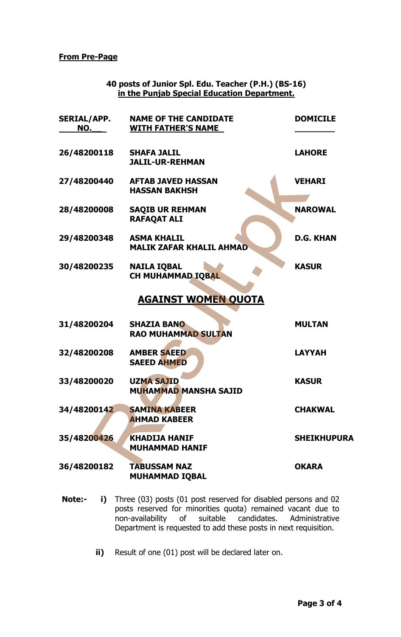**From Pre-Page**

| 40 posts of Junior Spl. Edu. Teacher (P.H.) (BS-16) |  |
|-----------------------------------------------------|--|
| in the Punjab Special Education Department.         |  |

| <b>SERIAL/APP.</b><br>NO. | <b>NAME OF THE CANDIDATE</b><br><b>WITH FATHER'S NAME</b>                                                                                                                                                                                    | <b>DOMICILE</b>    |
|---------------------------|----------------------------------------------------------------------------------------------------------------------------------------------------------------------------------------------------------------------------------------------|--------------------|
| 26/48200118               | <b>SHAFA JALIL</b><br><b>JALIL-UR-REHMAN</b>                                                                                                                                                                                                 | <b>LAHORE</b>      |
| 27/48200440               | <b>AFTAB JAVED HASSAN</b><br><b>HASSAN BAKHSH</b>                                                                                                                                                                                            | <b>VEHARI</b>      |
| 28/48200008               | <b>SAQIB UR REHMAN</b><br><b>RAFAQAT ALI</b>                                                                                                                                                                                                 | <b>NAROWAL</b>     |
| 29/48200348               | <b>ASMA KHALIL</b><br><b>MALIK ZAFAR KHALIL AHMAD</b>                                                                                                                                                                                        | <b>D.G. KHAN</b>   |
| 30/48200235               | <b>NAILA IQBAL</b><br>CH MUHAMMAD IQBAL                                                                                                                                                                                                      | <b>KASUR</b>       |
|                           | <b>AGAINST WOMEN QUOTA</b>                                                                                                                                                                                                                   |                    |
| 31/48200204               | <b>SHAZIA BANO</b><br><b>RAO MUHAMMAD SULTAN</b>                                                                                                                                                                                             | <b>MULTAN</b>      |
| 32/48200208               | <b>AMBER SAEED</b><br><b>SAEED AHMED</b>                                                                                                                                                                                                     | <b>LAYYAH</b>      |
| 33/48200020               | <b>UZMA SAJID</b><br><b>MUHAMMAD MANSHA SAJID</b>                                                                                                                                                                                            | <b>KASUR</b>       |
| 34/48200142               | <b>SAMINA KABEER</b><br><b>AHMAD KABEER</b>                                                                                                                                                                                                  | <b>CHAKWAL</b>     |
| 35/48200426               | KHADIJA HANIF<br><b>MUHAMMAD HANIF</b>                                                                                                                                                                                                       | <b>SHEIKHUPURA</b> |
| 36/48200182               | <b>TABUSSAM NAZ</b><br><b>MUHAMMAD IQBAL</b>                                                                                                                                                                                                 | <b>OKARA</b>       |
| <b>Note:-</b><br>i)       | Three (03) posts (01 post reserved for disabled persons and 02<br>posts reserved for minorities quota) remained vacant due to<br>non-availability of suitable candidates.<br>Department is requested to add these posts in next requisition. | Administrative     |
| ii)                       | Result of one (01) post will be declared later on.                                                                                                                                                                                           |                    |

- **Note:- i)** Three (03) posts (01 post reserved for disabled persons and 02 posts reserved for minorities quota) remained vacant due to non-availability of suitable candidates. Administrative Department is requested to add these posts in next requisition.
	- **ii)** Result of one (01) post will be declared later on.